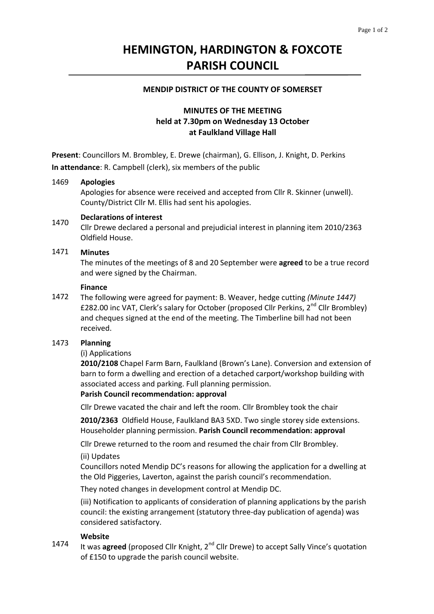# **HEMINGTON, HARDINGTON & FOXCOTE PARISH COUNCIL**

### **MENDIP DISTRICT OF THE COUNTY OF SOMERSET**

# **MINUTES OF THE MEETING held at 7.30pm on Wednesday 13 October at Faulkland Village Hall**

**Present**: Councillors M. Brombley, E. Drewe (chairman), G. Ellison, J. Knight, D. Perkins **In attendance**: R. Campbell (clerk), six members of the public

#### 1469 **Apologies**

Apologies for absence were received and accepted from Cllr R. Skinner (unwell). County/District Cllr M. Ellis had sent his apologies.

### 1470 **Declarations of interest**

Cllr Drewe declared a personal and prejudicial interest in planning item 2010/2363 Oldfield House.

#### 1471 **Minutes**

The minutes of the meetings of 8 and 20 September were **agreed** to be a true record and were signed by the Chairman.

### **Finance**

1472 The following were agreed for payment: B. Weaver, hedge cutting *(Minute 1447)* £282.00 inc VAT, Clerk's salary for October (proposed Cllr Perkins,  $2^{nd}$  Cllr Brombley) and cheques signed at the end of the meeting. The Timberline bill had not been received.

#### 1473 **Planning**

(i) Applications

**2010/2108** Chapel Farm Barn, Faulkland (Brown's Lane). Conversion and extension of barn to form a dwelling and erection of a detached carport/workshop building with associated access and parking. Full planning permission.

### **Parish Council recommendation: approval**

Cllr Drewe vacated the chair and left the room. Cllr Brombley took the chair

**2010/2363** Oldfield House, Faulkland BA3 5XD. Two single storey side extensions. Householder planning permission. **Parish Council recommendation: approval**

Cllr Drewe returned to the room and resumed the chair from Cllr Brombley.

### (ii) Updates

Councillors noted Mendip DC's reasons for allowing the application for a dwelling at the Old Piggeries, Laverton, against the parish council's recommendation.

They noted changes in development control at Mendip DC.

(iii) Notification to applicants of consideration of planning applications by the parish council: the existing arrangement (statutory three‐day publication of agenda) was considered satisfactory.

### **Website**

1474 It was **agreed** (proposed Cllr Knight, 2<sup>nd</sup> Cllr Drewe) to accept Sally Vince's quotation of £150 to upgrade the parish council website.